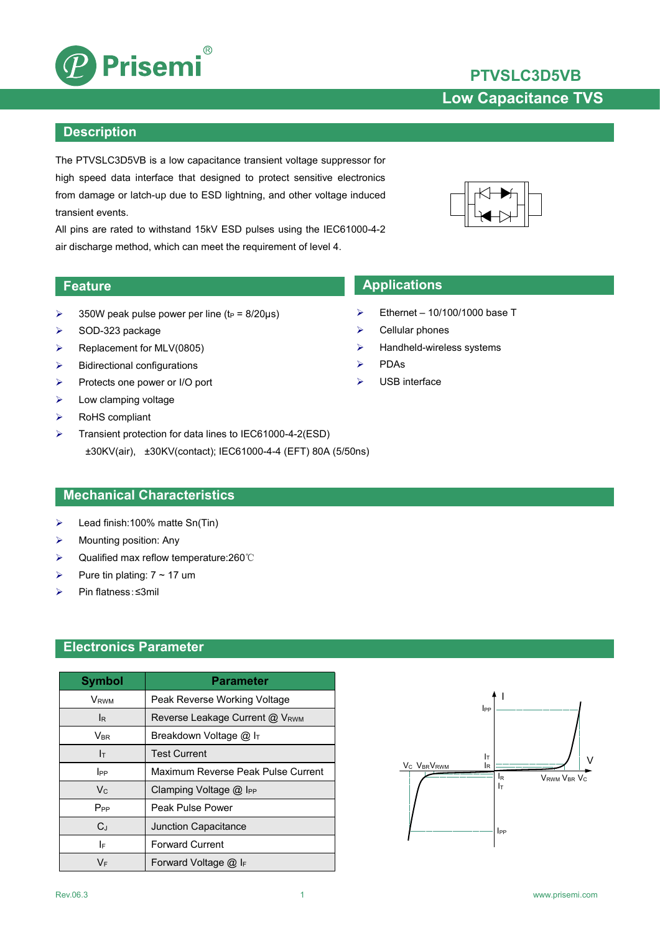

### **Description**

The PTVSLC3D5VB is a low capacitance transient voltage suppressor for high speed data interface that designed to protect sensitive electronics from damage or latch-up due to ESD lightning, and other voltage induced transient events.

All pins are rated to withstand 15kV ESD pulses using the IEC61000-4-2 air discharge method, which can meet the requirement of level 4.

- $\geq$  350W peak pulse power per line (t<sub>P</sub> = 8/20us)
- $\triangleright$  SOD-323 package
- $\triangleright$  Replacement for MLV(0805)
- $\triangleright$  Bidirectional configurations
- Protects one power or I/O port
- $\triangleright$  Low clamping voltage
- $\triangleright$  RoHS compliant
- Transient protection for data lines to IEC61000-4-2(ESD) ±30KV(air), ±30KV(contact); IEC61000-4-4 (EFT) 80A (5/50ns)

## **Mechanical Characteristics**

- Lead finish:100% matte Sn(Tin)
- $\triangleright$  Mounting position: Any
- Qualified max reflow temperature:260℃
- Pure tin plating:  $7 \sim 17$  um
- Pin flatness:≤3mil

### **Electronics Parameter**

| <b>Symbol</b>           | <b>Parameter</b>                     |                                                 |
|-------------------------|--------------------------------------|-------------------------------------------------|
| <b>V</b> <sub>RWM</sub> | Peak Reverse Working Voltage         |                                                 |
| IR.                     | Reverse Leakage Current @ VRWM       |                                                 |
| $V_{BR}$                | Breakdown Voltage @ IT               |                                                 |
| Iт                      | <b>Test Current</b>                  |                                                 |
| $_{\rm lPP}$            | Maximum Reverse Peak Pulse Current   | V <sub>C</sub> V <sub>BR</sub> V <sub>RWM</sub> |
| $V_{C}$                 | Clamping Voltage $@$ I <sub>PP</sub> |                                                 |
| $P_{PP}$                | Peak Pulse Power                     |                                                 |
| $C_J$                   | Junction Capacitance                 |                                                 |
| I۴                      | <b>Forward Current</b>               |                                                 |
| VF                      | Forward Voltage $@$ IF               |                                                 |



- **Feature Applications** 
	- $\triangleright$  Ethernet 10/100/1000 base T
	- $\triangleright$  Cellular phones
	- $\blacktriangleright$  Handheld-wireless systems
	- $\triangleright$  PDAs
	- USB interface



**PTVSLC3D5VB**

**Low Capacitance TVS**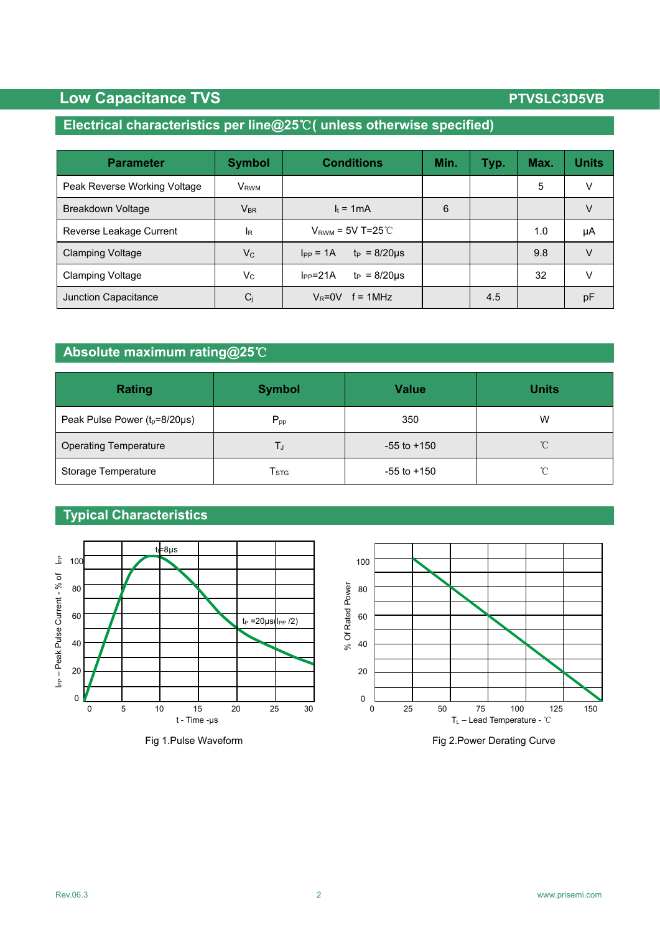# **Low Capacitance TVS PTVSLC3D5VB**

## **Electrical characteristics per line@25**℃**( unless otherwise specified)**

| <b>Parameter</b>             | <b>Symbol</b>    | <b>Conditions</b>                    | Min. | Typ. | Max. | <b>Units</b> |
|------------------------------|------------------|--------------------------------------|------|------|------|--------------|
| Peak Reverse Working Voltage | V <sub>RWM</sub> |                                      |      |      | 5    | V            |
| Breakdown Voltage            | $V_{BR}$         | $I_t = 1mA$                          | 6    |      |      | V            |
| Reverse Leakage Current      | l <sub>R</sub>   | $V_{RWM}$ = 5V T=25 $°C$             |      |      | 1.0  | μA           |
| <b>Clamping Voltage</b>      | $V_C$            | $t_P = 8/20 \mu s$<br>$I_{PP} = 1A$  |      |      | 9.8  | $\vee$       |
| <b>Clamping Voltage</b>      | Vc               | $t_P = 8/20 \mu s$<br>$I_{PP} = 21A$ |      |      | 32   | v            |
| Junction Capacitance         | Cj               | $V_R = 0V$ f = 1MHz                  |      | 4.5  |      | pF           |

## **Absolute maximum rating@25**℃

| <b>Rating</b>                      | <b>Symbol</b>               | <b>Value</b>    | <b>Units</b> |
|------------------------------------|-----------------------------|-----------------|--------------|
| Peak Pulse Power $(t_p=8/20\mu s)$ | $P_{pp}$                    | 350             | W            |
| <b>Operating Temperature</b>       | IJ                          | $-55$ to $+150$ | $^{\circ}$ C |
| Storage Temperature                | $\mathsf{T}_{\texttt{STG}}$ | $-55$ to $+150$ | $^{\circ}$ C |

## **Typical Characteristics**







Fig 1.Pulse Waveform **Fig 2.Power Derating Curve**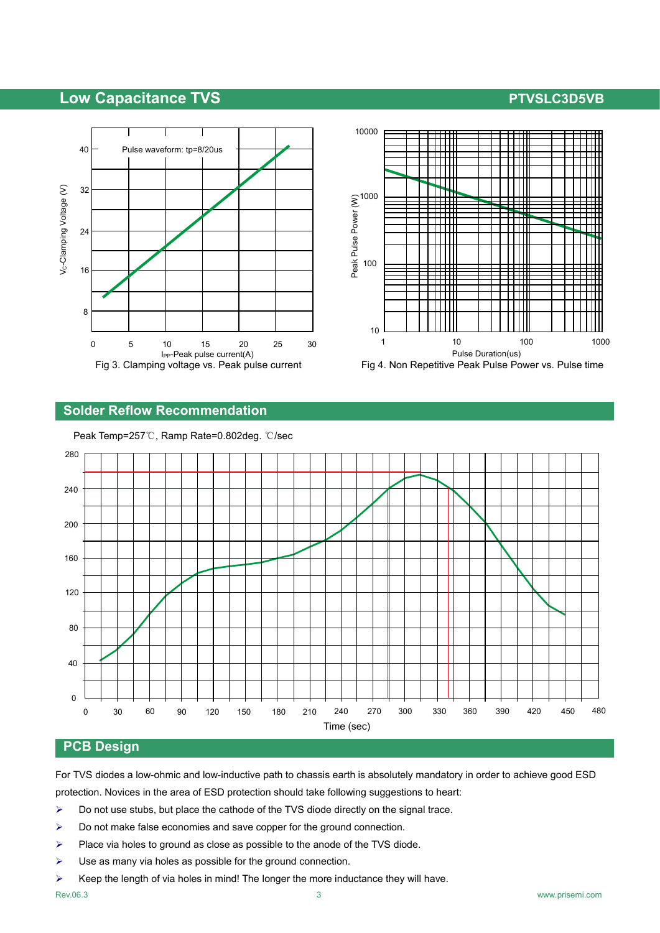## **Low Capacitance TVS PTVSLC3D5VB**





## **Solder Reflow Recommendation**



Peak Temp=257℃, Ramp Rate=0.802deg. ℃/sec

### **PCB Design**

For TVS diodes a low-ohmic and low-inductive path to chassis earth is absolutely mandatory in order to achieve good ESD protection. Novices in the area of ESD protection should take following suggestions to heart:

- $\triangleright$  Do not use stubs, but place the cathode of the TVS diode directly on the signal trace.
- $\triangleright$  Do not make false economies and save copper for the ground connection.
- $\triangleright$  Place via holes to ground as close as possible to the anode of the TVS diode.
- $\triangleright$  Use as many via holes as possible for the ground connection.
- $\triangleright$  Keep the length of via holes in mind! The longer the more inductance they will have.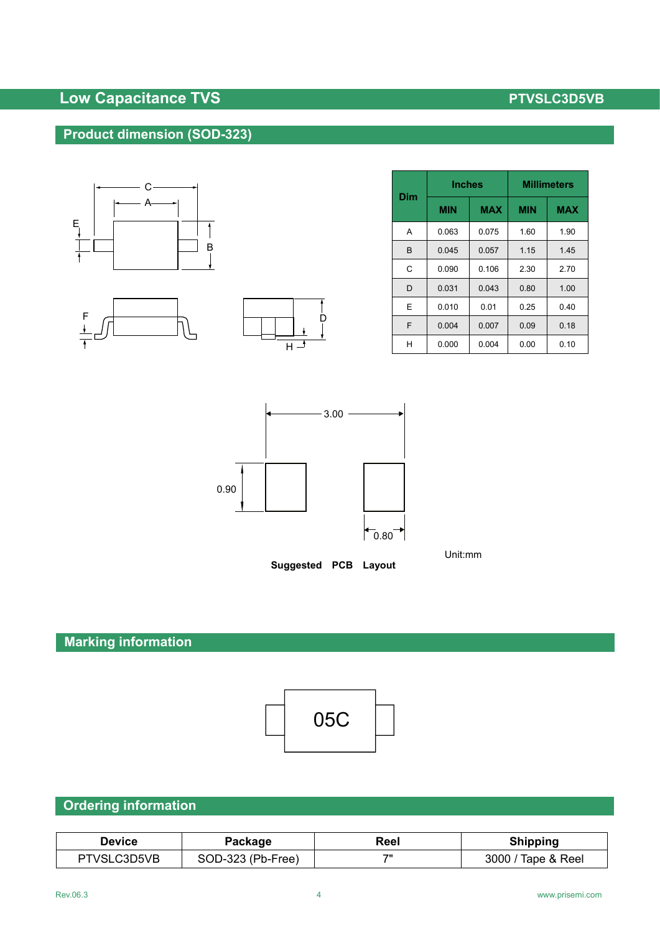# **Low Capacitance TVS PTVSLC3D5VB**

# **Product dimension (SOD-323)**







| <b>Dim</b> | <b>Inches</b> |            | <b>Millimeters</b> |            |
|------------|---------------|------------|--------------------|------------|
|            | <b>MIN</b>    | <b>MAX</b> | <b>MIN</b>         | <b>MAX</b> |
| A          | 0.063         | 0.075      | 1.60               | 1.90       |
| B          | 0.045         | 0.057      | 1.15               | 1.45       |
| C          | 0.090         | 0.106      | 2.30               | 2.70       |
| D          | 0.031         | 0.043      | 0.80               | 1.00       |
| E          | 0.010         | 0.01       | 0.25               | 0.40       |
| F          | 0.004         | 0.007      | 0.09               | 0.18       |
| Н          | 0.000         | 0.004      | 0.00               | 0.10       |



Unit:mm

**Suggested PCB Layout**

# **Marking information**



## **Ordering information**

| Device      | Package           | Reel | Shipping              |
|-------------|-------------------|------|-----------------------|
| PTVSLC3D5VB | SOD-323 (Pb-Free) | フリ   | 3000 .<br>Tape & Reel |